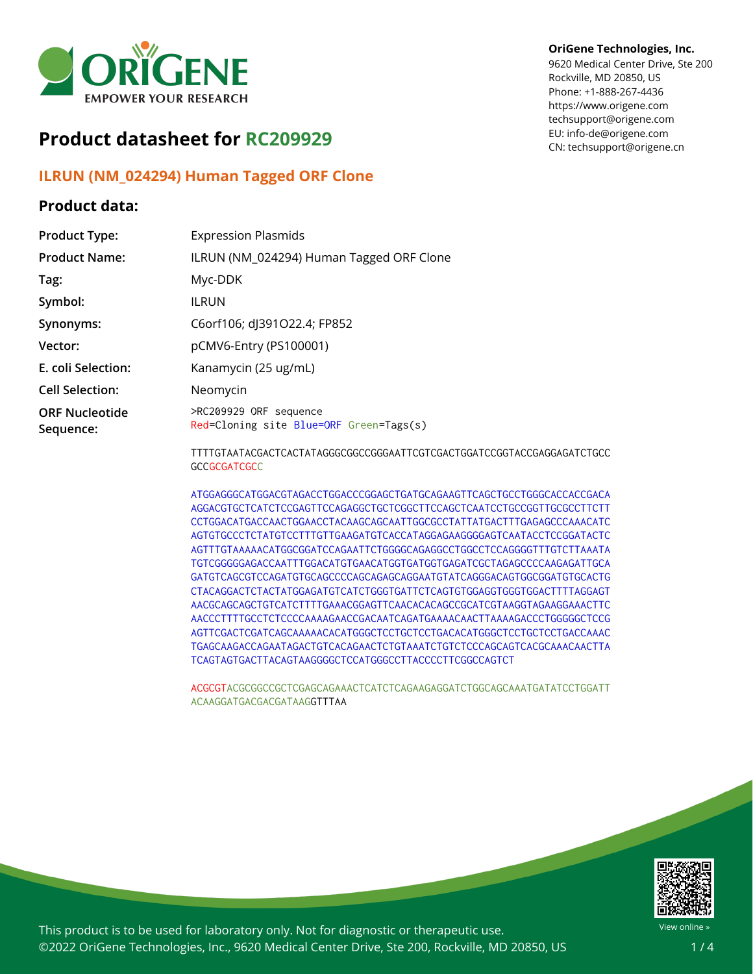

# **Product datasheet for RC209929**

## **ILRUN (NM\_024294) Human Tagged ORF Clone**

### **Product data:**

#### **OriGene Technologies, Inc.**

9620 Medical Center Drive, Ste 200 Rockville, MD 20850, US Phone: +1-888-267-4436 https://www.origene.com techsupport@origene.com EU: info-de@origene.com CN: techsupport@origene.cn

| <b>Product Type:</b>               | <b>Expression Plasmids</b>                                        |
|------------------------------------|-------------------------------------------------------------------|
| <b>Product Name:</b>               | ILRUN (NM_024294) Human Tagged ORF Clone                          |
| Tag:                               | Myc-DDK                                                           |
| Symbol:                            | <b>ILRUN</b>                                                      |
| Synonyms:                          | C6orf106; dJ391O22.4; FP852                                       |
| Vector:                            | pCMV6-Entry (PS100001)                                            |
| E. coli Selection:                 | Kanamycin (25 ug/mL)                                              |
| <b>Cell Selection:</b>             | Neomycin                                                          |
| <b>ORF Nucleotide</b><br>Sequence: | >RC209929 ORF sequence<br>Red=Cloning site Blue=ORF Green=Tags(s) |
|                                    |                                                                   |

TTTGTAATACGACTCACTATAGGGCGGCCGGGAATTCGTCGACTGGATCCGGTACCGAGGAGATCTGCC **GCCGCGATCGCC** 

ATGGAGGGCATGGACGTAGACCTGGACCCGGAGCTGATGCAGAAGTTCAGCTGCCTGGGCACCACCGACA AGGACGTGCTCATCTCCGAGTTCCAGAGGCTGCTCGGCTTCCAGCTCAATCCTGCCGGTTGCGCCTTCTT CCTGGACATGACCAACTGGAACCTACAAGCAGCAATTGGCGCCTATTATGACTTTGAGAGCCCAAACATC AGTGTGCCCTCTATGTCCTTTGTTGAAGATGTCACCATAGGAGAAGGGGAGTCAATACCTCCGGATACTC AGTTTGTAAAAACATGGCGGATCCAGAATTCTGGGGCAGAGGCCTGGCCTCCAGGGGTTTGTCTTAAATA TGTCGGGGGAGACCAATTTGGACATGTGAACATGGTGATGGTGAGATCGCTAGAGCCCCAAGAGATTGCA GATGTCAGCGTCCAGATGTGCAGCCCCAGCAGAGCAGGAATGTATCAGGGACAGTGGCGGATGTGCACTG CTACAGGACTCTACTATGGAGATGTCATCTGGGTGATTCTCAGTGTGGAGGTGGGTGGACTTTTAGGAGT AACGCAGCAGCTGTCATCTTTTGAAACGGAGTTCAACACACAGCCGCATCGTAAGGTAGAAGGAAACTTC AACCCTTTTGCCTCTCCCCAAAAGAACCGACAATCAGATGAAAACAACTTAAAAGACCCTGGGGGCTCCG AGTTCGACTCGATCAGCAAAAACACATGGGCTCCTGCTCCTGACACATGGGCTCCTGCTCCTGACCAAAC TGAGCAAGACCAGAATAGACTGTCACAGAACTCTGTAAATCTGTCTCCCAGCAGTCACGCAAACAACTTA TCAGTAGTGACTTACAGTAAGGGGCTCCATGGGCCTTACCCCTTCGGCCAGTCT

ACGCGTACGCGGCCGCTCGAGCAGAAACTCATCTCAGAAGAGGATCTGGCAGCAAATGATATCCTGGATT ACAAGGATGACGACGATAAGGTTTAA



This product is to be used for laboratory only. Not for diagnostic or therapeutic use. ©2022 OriGene Technologies, Inc., 9620 Medical Center Drive, Ste 200, Rockville, MD 20850, US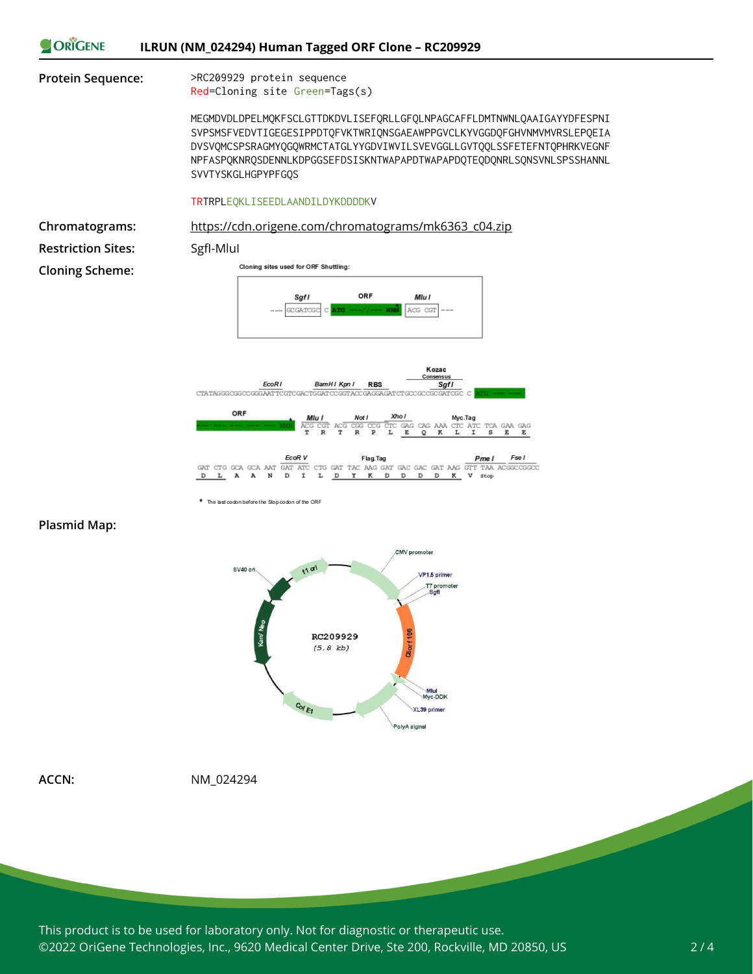



\* The last codon before the Stop codon of the ORF

#### **Plasmid Map:**



**ACCN:** NM\_024294

This product is to be used for laboratory only. Not for diagnostic or therapeutic use. ©2022 OriGene Technologies, Inc., 9620 Medical Center Drive, Ste 200, Rockville, MD 20850, US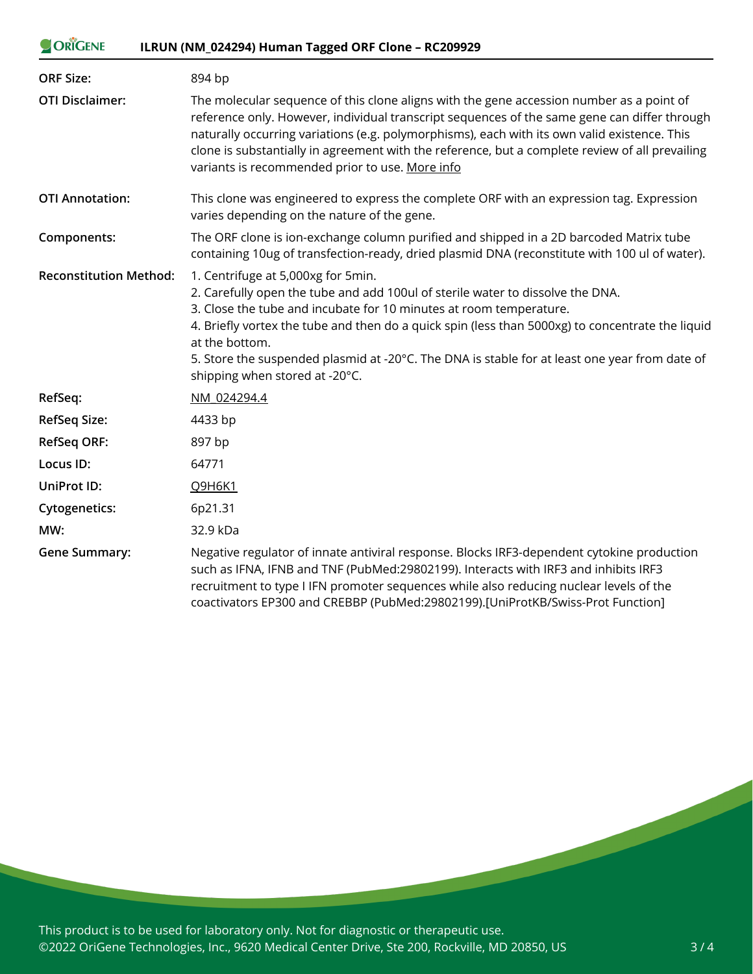| ORIGENE                       | ILRUN (NM_024294) Human Tagged ORF Clone - RC209929                                                                                                                                                                                                                                                                                                                                                                                                 |
|-------------------------------|-----------------------------------------------------------------------------------------------------------------------------------------------------------------------------------------------------------------------------------------------------------------------------------------------------------------------------------------------------------------------------------------------------------------------------------------------------|
| <b>ORF Size:</b>              | 894 bp                                                                                                                                                                                                                                                                                                                                                                                                                                              |
| <b>OTI Disclaimer:</b>        | The molecular sequence of this clone aligns with the gene accession number as a point of<br>reference only. However, individual transcript sequences of the same gene can differ through<br>naturally occurring variations (e.g. polymorphisms), each with its own valid existence. This<br>clone is substantially in agreement with the reference, but a complete review of all prevailing<br>variants is recommended prior to use. More info      |
| <b>OTI Annotation:</b>        | This clone was engineered to express the complete ORF with an expression tag. Expression<br>varies depending on the nature of the gene.                                                                                                                                                                                                                                                                                                             |
| Components:                   | The ORF clone is ion-exchange column purified and shipped in a 2D barcoded Matrix tube<br>containing 10ug of transfection-ready, dried plasmid DNA (reconstitute with 100 ul of water).                                                                                                                                                                                                                                                             |
| <b>Reconstitution Method:</b> | 1. Centrifuge at 5,000xg for 5min.<br>2. Carefully open the tube and add 100ul of sterile water to dissolve the DNA.<br>3. Close the tube and incubate for 10 minutes at room temperature.<br>4. Briefly vortex the tube and then do a quick spin (less than 5000xg) to concentrate the liquid<br>at the bottom.<br>5. Store the suspended plasmid at -20°C. The DNA is stable for at least one year from date of<br>shipping when stored at -20°C. |
| RefSeq:                       | NM 024294.4                                                                                                                                                                                                                                                                                                                                                                                                                                         |
| <b>RefSeq Size:</b>           | 4433 bp                                                                                                                                                                                                                                                                                                                                                                                                                                             |
| <b>RefSeq ORF:</b>            | 897 bp                                                                                                                                                                                                                                                                                                                                                                                                                                              |
| Locus ID:                     | 64771                                                                                                                                                                                                                                                                                                                                                                                                                                               |
| <b>UniProt ID:</b>            | Q9H6K1                                                                                                                                                                                                                                                                                                                                                                                                                                              |
| <b>Cytogenetics:</b>          | 6p21.31                                                                                                                                                                                                                                                                                                                                                                                                                                             |
| MW:                           | 32.9 kDa                                                                                                                                                                                                                                                                                                                                                                                                                                            |
| <b>Gene Summary:</b>          | Negative regulator of innate antiviral response. Blocks IRF3-dependent cytokine production<br>such as IFNA, IFNB and TNF (PubMed:29802199). Interacts with IRF3 and inhibits IRF3<br>recruitment to type I IFN promoter sequences while also reducing nuclear levels of the<br>coactivators EP300 and CREBBP (PubMed:29802199).[UniProtKB/Swiss-Prot Function]                                                                                      |

This product is to be used for laboratory only. Not for diagnostic or therapeutic use. ©2022 OriGene Technologies, Inc., 9620 Medical Center Drive, Ste 200, Rockville, MD 20850, US

**Contract Contract Contract**